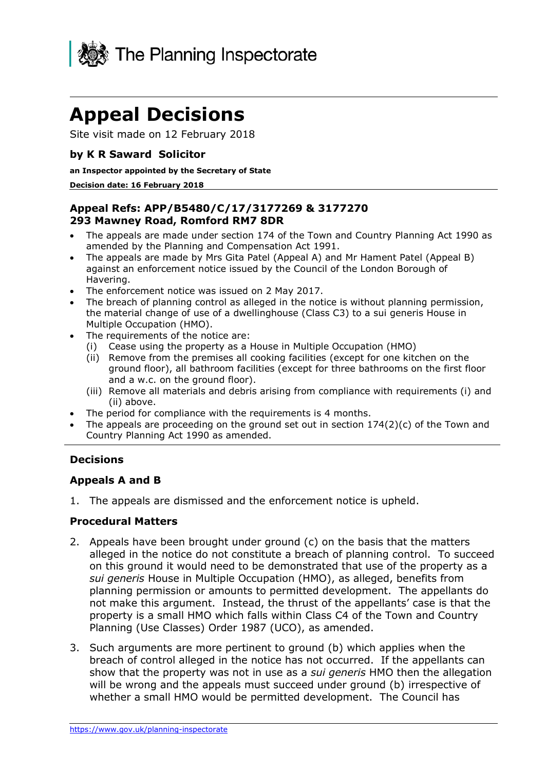

# **Appeal Decisions**

Site visit made on 12 February 2018

# **by K R Saward Solicitor**

#### **an Inspector appointed by the Secretary of State**

#### **Decision date: 16 February 2018**

## **Appeal Refs: APP/B5480/C/17/3177269 & 3177270 293 Mawney Road, Romford RM7 8DR**

- The appeals are made under section 174 of the Town and Country Planning Act 1990 as amended by the Planning and Compensation Act 1991.
- The appeals are made by Mrs Gita Patel (Appeal A) and Mr Hament Patel (Appeal B) against an enforcement notice issued by the Council of the London Borough of Havering.
- The enforcement notice was issued on 2 May 2017.
- The breach of planning control as alleged in the notice is without planning permission, the material change of use of a dwellinghouse (Class C3) to a sui generis House in Multiple Occupation (HMO).
- The requirements of the notice are:
	- (i) Cease using the property as a House in Multiple Occupation (HMO)
	- (ii) Remove from the premises all cooking facilities (except for one kitchen on the ground floor), all bathroom facilities (except for three bathrooms on the first floor and a w.c. on the ground floor).
	- (iii) Remove all materials and debris arising from compliance with requirements (i) and (ii) above.
- The period for compliance with the requirements is 4 months.
- The appeals are proceeding on the ground set out in section  $174(2)(c)$  of the Town and Country Planning Act 1990 as amended.

## **Decisions**

## **Appeals A and B**

1. The appeals are dismissed and the enforcement notice is upheld.

#### **Procedural Matters**

- 2. Appeals have been brought under ground (c) on the basis that the matters alleged in the notice do not constitute a breach of planning control. To succeed on this ground it would need to be demonstrated that use of the property as a *sui generis* House in Multiple Occupation (HMO), as alleged, benefits from planning permission or amounts to permitted development. The appellants do not make this argument. Instead, the thrust of the appellants' case is that the property is a small HMO which falls within Class C4 of the Town and Country Planning (Use Classes) Order 1987 (UCO), as amended.
- 3. Such arguments are more pertinent to ground (b) which applies when the breach of control alleged in the notice has not occurred. If the appellants can show that the property was not in use as a *sui generis* HMO then the allegation will be wrong and the appeals must succeed under ground (b) irrespective of whether a small HMO would be permitted development. The Council has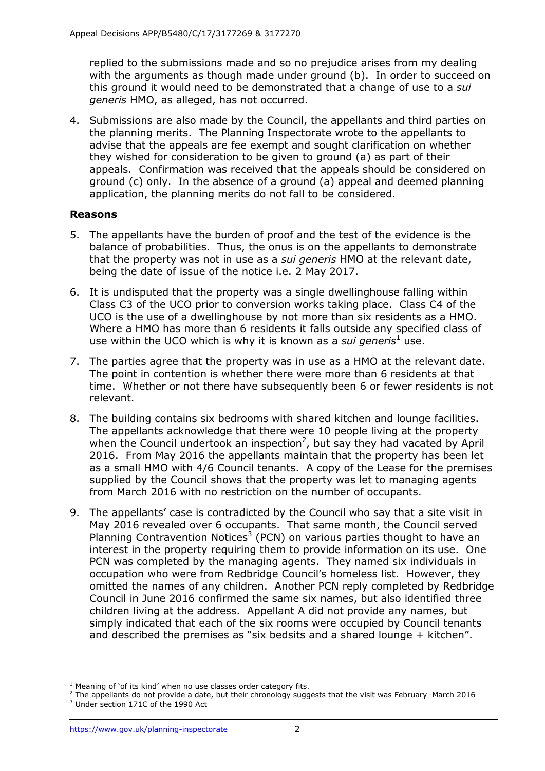replied to the submissions made and so no prejudice arises from my dealing with the arguments as though made under ground (b). In order to succeed on this ground it would need to be demonstrated that a change of use to a *sui generis* HMO, as alleged, has not occurred.

4. Submissions are also made by the Council, the appellants and third parties on the planning merits. The Planning Inspectorate wrote to the appellants to advise that the appeals are fee exempt and sought clarification on whether they wished for consideration to be given to ground (a) as part of their appeals. Confirmation was received that the appeals should be considered on ground (c) only. In the absence of a ground (a) appeal and deemed planning application, the planning merits do not fall to be considered.

# **Reasons**

- 5. The appellants have the burden of proof and the test of the evidence is the balance of probabilities. Thus, the onus is on the appellants to demonstrate that the property was not in use as a *sui generis* HMO at the relevant date, being the date of issue of the notice i.e. 2 May 2017.
- 6. It is undisputed that the property was a single dwellinghouse falling within Class C3 of the UCO prior to conversion works taking place. Class C4 of the UCO is the use of a dwellinghouse by not more than six residents as a HMO. Where a HMO has more than 6 residents it falls outside any specified class of use within the UCO which is why it is known as a *sui generis*<sup>1</sup> use.
- 7. The parties agree that the property was in use as a HMO at the relevant date. The point in contention is whether there were more than 6 residents at that time. Whether or not there have subsequently been 6 or fewer residents is not relevant.
- 8. The building contains six bedrooms with shared kitchen and lounge facilities. The appellants acknowledge that there were 10 people living at the property when the Council undertook an inspection<sup>2</sup>, but say they had vacated by April 2016. From May 2016 the appellants maintain that the property has been let as a small HMO with 4/6 Council tenants. A copy of the Lease for the premises supplied by the Council shows that the property was let to managing agents from March 2016 with no restriction on the number of occupants.
- 9. The appellants' case is contradicted by the Council who say that a site visit in May 2016 revealed over 6 occupants. That same month, the Council served Planning Contravention Notices<sup>3</sup> (PCN) on various parties thought to have an interest in the property requiring them to provide information on its use. One PCN was completed by the managing agents. They named six individuals in occupation who were from Redbridge Council's homeless list. However, they omitted the names of any children. Another PCN reply completed by Redbridge Council in June 2016 confirmed the same six names, but also identified three children living at the address. Appellant A did not provide any names, but simply indicated that each of the six rooms were occupied by Council tenants and described the premises as "six bedsits and a shared lounge + kitchen".

j  $1$  Meaning of 'of its kind' when no use classes order category fits.

 $2$  The appellants do not provide a date, but their chronology suggests that the visit was February–March 2016

<sup>3</sup> Under section 171C of the 1990 Act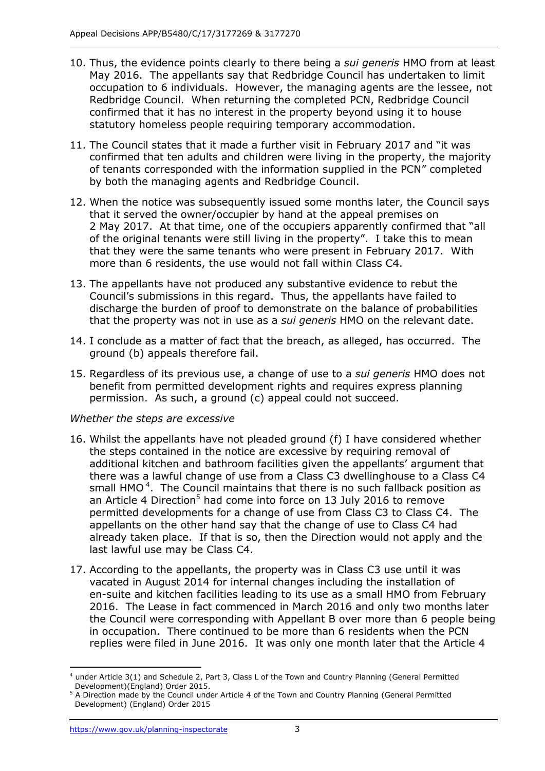- 10. Thus, the evidence points clearly to there being a *sui generis* HMO from at least May 2016. The appellants say that Redbridge Council has undertaken to limit occupation to 6 individuals. However, the managing agents are the lessee, not Redbridge Council. When returning the completed PCN, Redbridge Council confirmed that it has no interest in the property beyond using it to house statutory homeless people requiring temporary accommodation.
- 11. The Council states that it made a further visit in February 2017 and "it was confirmed that ten adults and children were living in the property, the majority of tenants corresponded with the information supplied in the PCN" completed by both the managing agents and Redbridge Council.
- 12. When the notice was subsequently issued some months later, the Council says that it served the owner/occupier by hand at the appeal premises on 2 May 2017. At that time, one of the occupiers apparently confirmed that "all of the original tenants were still living in the property". I take this to mean that they were the same tenants who were present in February 2017. With more than 6 residents, the use would not fall within Class C4.
- 13. The appellants have not produced any substantive evidence to rebut the Council's submissions in this regard. Thus, the appellants have failed to discharge the burden of proof to demonstrate on the balance of probabilities that the property was not in use as a *sui generis* HMO on the relevant date.
- 14. I conclude as a matter of fact that the breach, as alleged, has occurred. The ground (b) appeals therefore fail.
- 15. Regardless of its previous use, a change of use to a *sui generis* HMO does not benefit from permitted development rights and requires express planning permission. As such, a ground (c) appeal could not succeed.

## *Whether the steps are excessive*

- 16. Whilst the appellants have not pleaded ground (f) I have considered whether the steps contained in the notice are excessive by requiring removal of additional kitchen and bathroom facilities given the appellants' argument that there was a lawful change of use from a Class C3 dwellinghouse to a Class C4 small HMO<sup>4</sup>. The Council maintains that there is no such fallback position as an Article 4 Direction<sup>5</sup> had come into force on 13 July 2016 to remove permitted developments for a change of use from Class C3 to Class C4. The appellants on the other hand say that the change of use to Class C4 had already taken place. If that is so, then the Direction would not apply and the last lawful use may be Class C4.
- 17. According to the appellants, the property was in Class C3 use until it was vacated in August 2014 for internal changes including the installation of en-suite and kitchen facilities leading to its use as a small HMO from February 2016. The Lease in fact commenced in March 2016 and only two months later the Council were corresponding with Appellant B over more than 6 people being in occupation. There continued to be more than 6 residents when the PCN replies were filed in June 2016. It was only one month later that the Article 4

j <sup>4</sup> under Article 3(1) and Schedule 2, Part 3, Class L of the Town and Country Planning (General Permitted Development)(England) Order 2015.

<sup>&</sup>lt;sup>5</sup> A Direction made by the Council under Article 4 of the Town and Country Planning (General Permitted Development) (England) Order 2015